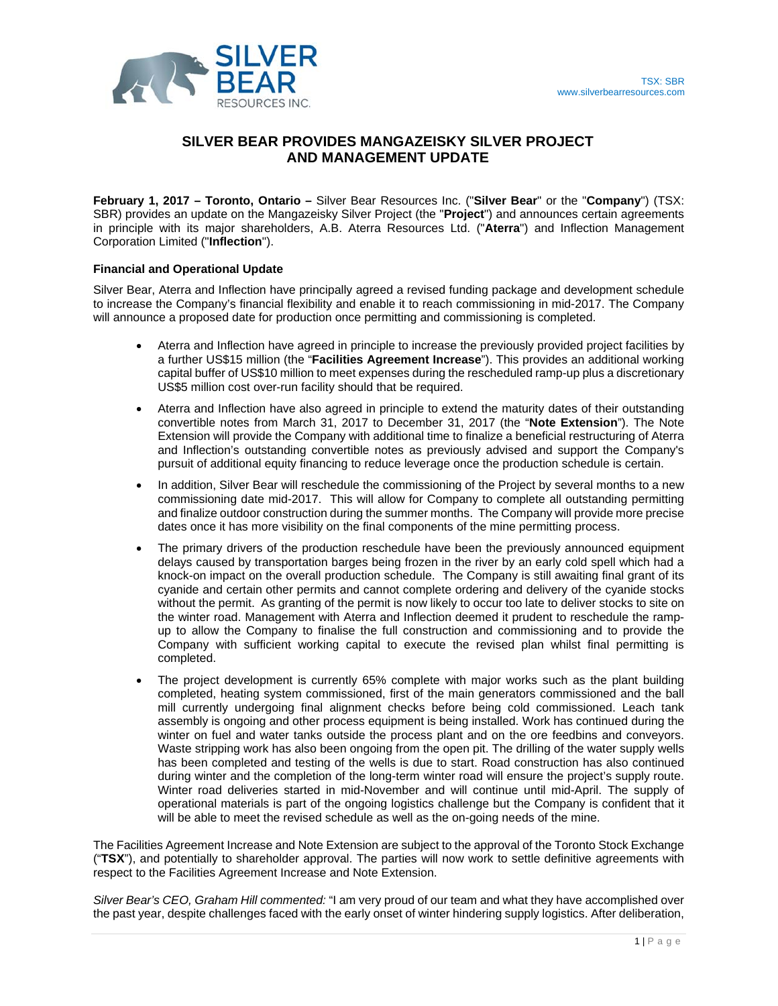

# **SILVER BEAR PROVIDES MANGAZEISKY SILVER PROJECT AND MANAGEMENT UPDATE**

**February 1, 2017 – Toronto, Ontario –** Silver Bear Resources Inc. ("**Silver Bear**" or the "**Company**") (TSX: SBR) provides an update on the Mangazeisky Silver Project (the "**Project**") and announces certain agreements in principle with its major shareholders, A.B. Aterra Resources Ltd. ("**Aterra**") and Inflection Management Corporation Limited ("**Inflection**").

## **Financial and Operational Update**

Silver Bear, Aterra and Inflection have principally agreed a revised funding package and development schedule to increase the Company's financial flexibility and enable it to reach commissioning in mid-2017. The Company will announce a proposed date for production once permitting and commissioning is completed.

- Aterra and Inflection have agreed in principle to increase the previously provided project facilities by a further US\$15 million (the "**Facilities Agreement Increase**"). This provides an additional working capital buffer of US\$10 million to meet expenses during the rescheduled ramp-up plus a discretionary US\$5 million cost over-run facility should that be required.
- Aterra and Inflection have also agreed in principle to extend the maturity dates of their outstanding convertible notes from March 31, 2017 to December 31, 2017 (the "**Note Extension**"). The Note Extension will provide the Company with additional time to finalize a beneficial restructuring of Aterra and Inflection's outstanding convertible notes as previously advised and support the Company's pursuit of additional equity financing to reduce leverage once the production schedule is certain.
- In addition, Silver Bear will reschedule the commissioning of the Project by several months to a new commissioning date mid-2017. This will allow for Company to complete all outstanding permitting and finalize outdoor construction during the summer months. The Company will provide more precise dates once it has more visibility on the final components of the mine permitting process.
- The primary drivers of the production reschedule have been the previously announced equipment delays caused by transportation barges being frozen in the river by an early cold spell which had a knock-on impact on the overall production schedule. The Company is still awaiting final grant of its cyanide and certain other permits and cannot complete ordering and delivery of the cyanide stocks without the permit. As granting of the permit is now likely to occur too late to deliver stocks to site on the winter road. Management with Aterra and Inflection deemed it prudent to reschedule the rampup to allow the Company to finalise the full construction and commissioning and to provide the Company with sufficient working capital to execute the revised plan whilst final permitting is completed.
- The project development is currently 65% complete with major works such as the plant building completed, heating system commissioned, first of the main generators commissioned and the ball mill currently undergoing final alignment checks before being cold commissioned. Leach tank assembly is ongoing and other process equipment is being installed. Work has continued during the winter on fuel and water tanks outside the process plant and on the ore feedbins and conveyors. Waste stripping work has also been ongoing from the open pit. The drilling of the water supply wells has been completed and testing of the wells is due to start. Road construction has also continued during winter and the completion of the long-term winter road will ensure the project's supply route. Winter road deliveries started in mid-November and will continue until mid-April. The supply of operational materials is part of the ongoing logistics challenge but the Company is confident that it will be able to meet the revised schedule as well as the on-going needs of the mine.

The Facilities Agreement Increase and Note Extension are subject to the approval of the Toronto Stock Exchange ("**TSX**"), and potentially to shareholder approval. The parties will now work to settle definitive agreements with respect to the Facilities Agreement Increase and Note Extension.

*Silver Bear's CEO, Graham Hill commented:* "I am very proud of our team and what they have accomplished over the past year, despite challenges faced with the early onset of winter hindering supply logistics. After deliberation,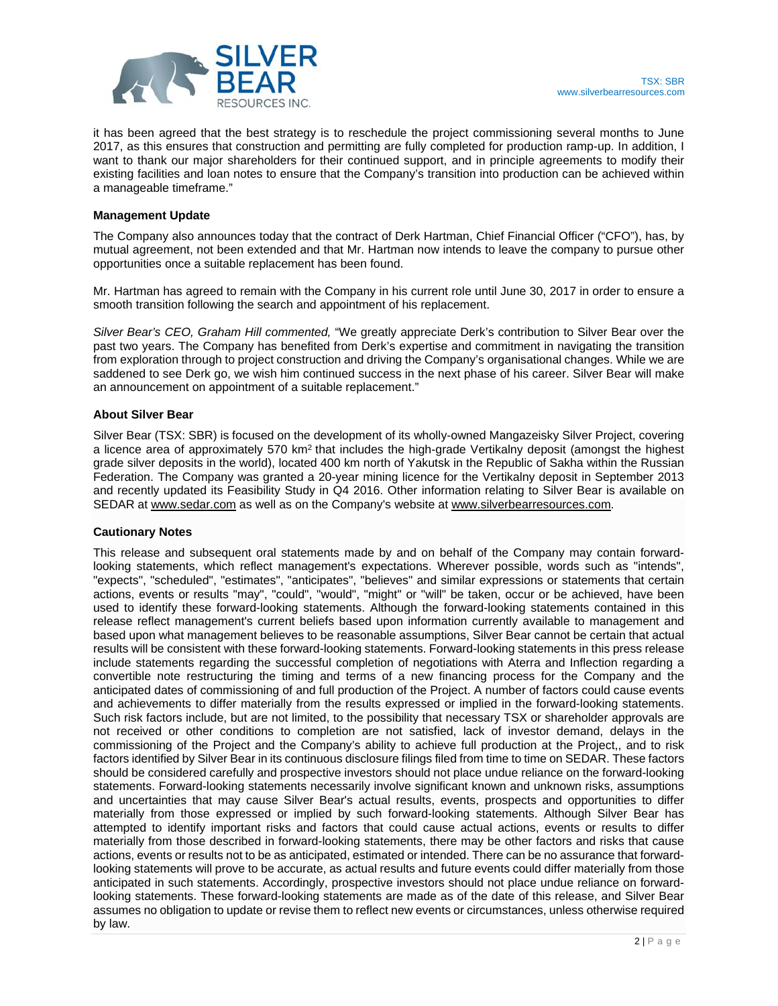

it has been agreed that the best strategy is to reschedule the project commissioning several months to June 2017, as this ensures that construction and permitting are fully completed for production ramp-up. In addition, I want to thank our major shareholders for their continued support, and in principle agreements to modify their existing facilities and loan notes to ensure that the Company's transition into production can be achieved within a manageable timeframe."

#### **Management Update**

The Company also announces today that the contract of Derk Hartman, Chief Financial Officer ("CFO"), has, by mutual agreement, not been extended and that Mr. Hartman now intends to leave the company to pursue other opportunities once a suitable replacement has been found.

Mr. Hartman has agreed to remain with the Company in his current role until June 30, 2017 in order to ensure a smooth transition following the search and appointment of his replacement.

*Silver Bear's CEO, Graham Hill commented,* "We greatly appreciate Derk's contribution to Silver Bear over the past two years. The Company has benefited from Derk's expertise and commitment in navigating the transition from exploration through to project construction and driving the Company's organisational changes. While we are saddened to see Derk go, we wish him continued success in the next phase of his career. Silver Bear will make an announcement on appointment of a suitable replacement."

#### **About Silver Bear**

Silver Bear (TSX: SBR) is focused on the development of its wholly-owned Mangazeisky Silver Project, covering a licence area of approximately 570 km<sup>2</sup> that includes the high-grade Vertikalny deposit (amongst the highest grade silver deposits in the world), located 400 km north of Yakutsk in the Republic of Sakha within the Russian Federation. The Company was granted a 20-year mining licence for the Vertikalny deposit in September 2013 and recently updated its Feasibility Study in Q4 2016. Other information relating to Silver Bear is available on SEDAR at www.sedar.com as well as on the Company's website at www.silverbearresources.com.

## **Cautionary Notes**

This release and subsequent oral statements made by and on behalf of the Company may contain forwardlooking statements, which reflect management's expectations. Wherever possible, words such as "intends", "expects", "scheduled", "estimates", "anticipates", "believes" and similar expressions or statements that certain actions, events or results "may", "could", "would", "might" or "will" be taken, occur or be achieved, have been used to identify these forward-looking statements. Although the forward-looking statements contained in this release reflect management's current beliefs based upon information currently available to management and based upon what management believes to be reasonable assumptions, Silver Bear cannot be certain that actual results will be consistent with these forward-looking statements. Forward-looking statements in this press release include statements regarding the successful completion of negotiations with Aterra and Inflection regarding a convertible note restructuring the timing and terms of a new financing process for the Company and the anticipated dates of commissioning of and full production of the Project. A number of factors could cause events and achievements to differ materially from the results expressed or implied in the forward-looking statements. Such risk factors include, but are not limited, to the possibility that necessary TSX or shareholder approvals are not received or other conditions to completion are not satisfied, lack of investor demand, delays in the commissioning of the Project and the Company's ability to achieve full production at the Project,, and to risk factors identified by Silver Bear in its continuous disclosure filings filed from time to time on SEDAR. These factors should be considered carefully and prospective investors should not place undue reliance on the forward-looking statements. Forward-looking statements necessarily involve significant known and unknown risks, assumptions and uncertainties that may cause Silver Bear's actual results, events, prospects and opportunities to differ materially from those expressed or implied by such forward-looking statements. Although Silver Bear has attempted to identify important risks and factors that could cause actual actions, events or results to differ materially from those described in forward-looking statements, there may be other factors and risks that cause actions, events or results not to be as anticipated, estimated or intended. There can be no assurance that forwardlooking statements will prove to be accurate, as actual results and future events could differ materially from those anticipated in such statements. Accordingly, prospective investors should not place undue reliance on forwardlooking statements. These forward-looking statements are made as of the date of this release, and Silver Bear assumes no obligation to update or revise them to reflect new events or circumstances, unless otherwise required by law.